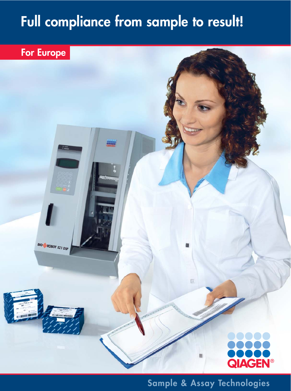# **Full compliance from sample to result!**

# **For Europe**



**Sample & Assay Technologies**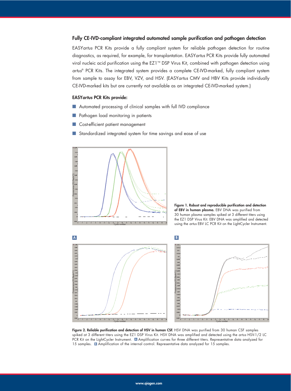#### **Fully CE-IVD-compliant integrated automated sample purification and pathogen detection**

EASY*artus* PCR Kits provide a fully compliant system for reliable pathogen detection for routine diagnostics, as required, for example, for transplantation. EASY*artus* PCR Kits provide fully automated viral nucleic acid purification using the EZ1™ DSP Virus Kit, combined with pathogen detection using *artus*® PCR Kits. The integrated system provides a complete CE-IVD-marked, fully compliant system from sample to assay for EBV, VZV, and HSV. (EASY*artus* CMV and HBV Kits provide individually CE-IVD-marked kits but are currently not available as an integrated CE-IVD-marked system.)

#### **EASY***artus* **PCR Kits provide:**

- Automated processing of clinical samples with full IVD compliance
- Pathogen load monitoring in patients
- Cost-efficient patient management
- Standardized integrated system for time savings and ease of use



**Figure 1. Robust and reproducible purification and detection of EBV in human plasma.** EBV DNA was purified from 30 human plasma samples spiked at 3 different titers using the EZ1 DSP Virus Kit. EBV DNA was amplified and detected using the *artus* EBV LC PCR Kit on the LightCycler Instrument.



**Figure 2. Reliable purification and detection of HSV in human CSF.** HSV DNA was purified from 30 human CSF samples spiked at 3 different titers using the EZ1 DSP Virus Kit. HSV DNA was amplified and detected using the *artus* HSV-1/2 LC PCR Kit on the LightCycler Instrument. Amplification curves for three different titers. Representative data analyzed for **A** 15 samples. **B** Amplification of the internal control. Representative data analyzed for 15 samples.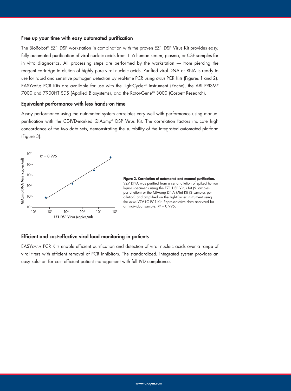#### **Free up your time with easy automated purification**

The BioRobot® EZ1 DSP workstation in combination with the proven EZ1 DSP Virus Kit provides easy, fully automated purification of viral nucleic acids from 1–6 human serum, plasma, or CSF samples for in vitro diagnostics. All processing steps are performed by the workstation — from piercing the reagent cartridge to elution of highly pure viral nucleic acids. Purified viral DNA or RNA is ready to use for rapid and sensitive pathogen detection by real-time PCR using *artus* PCR Kits (Figures 1 and 2). EASY*artus* PCR Kits are available for use with the LightCycler® Instrument (Roche), the ABI PRISM® 7000 and 7900HT SDS (Applied Biosystems), and the Rotor-Gene™ 3000 (Corbett Research).

#### **Equivalent performance with less hands-on time**

Assay performance using the automated system correlates very well with performance using manual purification with the CE-IVD-marked QIAamp® DSP Virus Kit. The correlation factors indicate high concordance of the two data sets, demonstrating the suitability of the integrated automated platform (Figure 3).



**Figure 3. Correlation of automated and manual purification.** VZV DNA was purified from a serial dilution of spiked human liquor specimens using the EZ1 DSP Virus Kit (9 samples per dilution) or the QIAamp DNA Mini Kit (3 samples per dilution) and amplified on the LightCycler Instrument using the *artus* VZV LC PCR Kit. Representative data analyzed for an individual sample.  $R^2 = 0.995$ .

#### **Efficient and cost-effective viral load monitoring in patients**

EASY*artus* PCR Kits enable efficient purification and detection of viral nucleic acids over a range of viral titers with efficient removal of PCR inhibitors. The standardized, integrated system provides an easy solution for cost-efficient patient management with full IVD compliance.